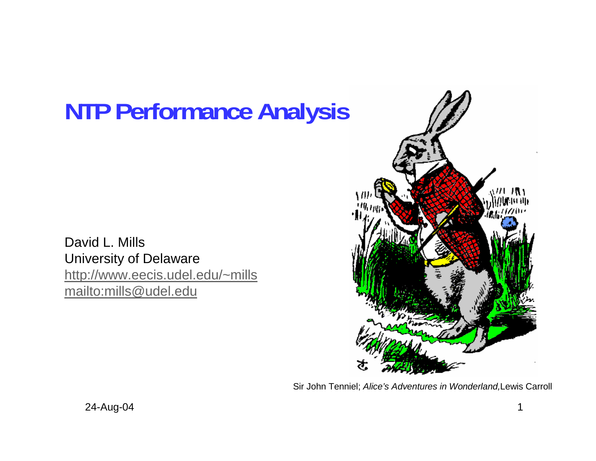# **NTP Performance Analysis**

David L. Mills University of Delaware http://www.eecis.udel.edu/~mills mailto:mills@udel.edu



Sir John Tenniel; *Alice's Adventures in Wonderland,*Lewis Carroll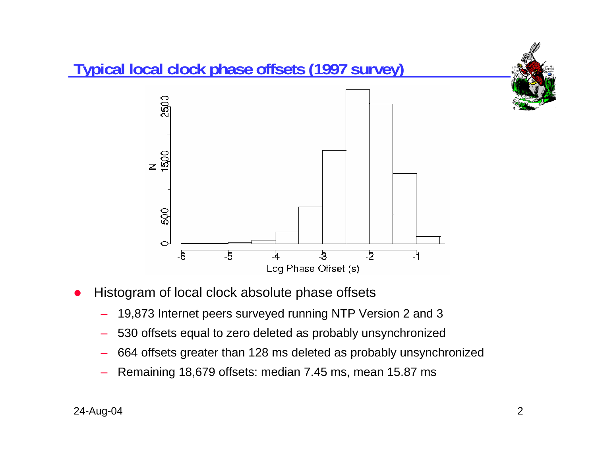

- O Histogram of local clock absolute phase offsets
	- 19,873 Internet peers surveyed running NTP Version 2 and 3
	- 530 offsets equal to zero deleted as probably unsynchronized
	- 664 offsets greater than 128 ms deleted as probably unsynchronized
	- Remaining 18,679 offsets: median 7.45 ms, mean 15.87 ms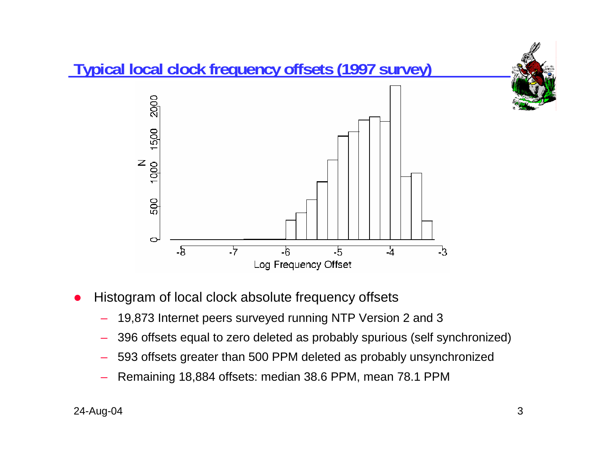

- O Histogram of local clock absolute frequency offsets
	- 19,873 Internet peers surveyed running NTP Version 2 and 3
	- 396 offsets equal to zero deleted as probably spurious (self synchronized)
	- 593 offsets greater than 500 PPM deleted as probably unsynchronized
	- Remaining 18,884 offsets: median 38.6 PPM, mean 78.1 PPM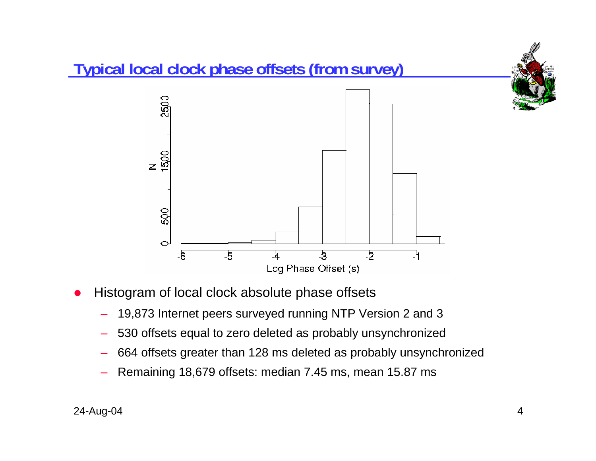

- O Histogram of local clock absolute phase offsets
	- 19,873 Internet peers surveyed running NTP Version 2 and 3
	- 530 offsets equal to zero deleted as probably unsynchronized
	- 664 offsets greater than 128 ms deleted as probably unsynchronized
	- Remaining 18,679 offsets: median 7.45 ms, mean 15.87 ms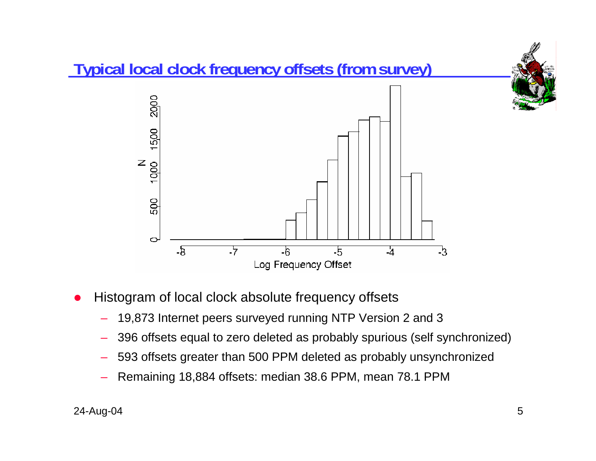

- O Histogram of local clock absolute frequency offsets
	- 19,873 Internet peers surveyed running NTP Version 2 and 3
	- 396 offsets equal to zero deleted as probably spurious (self synchronized)
	- 593 offsets greater than 500 PPM deleted as probably unsynchronized
	- Remaining 18,884 offsets: median 38.6 PPM, mean 78.1 PPM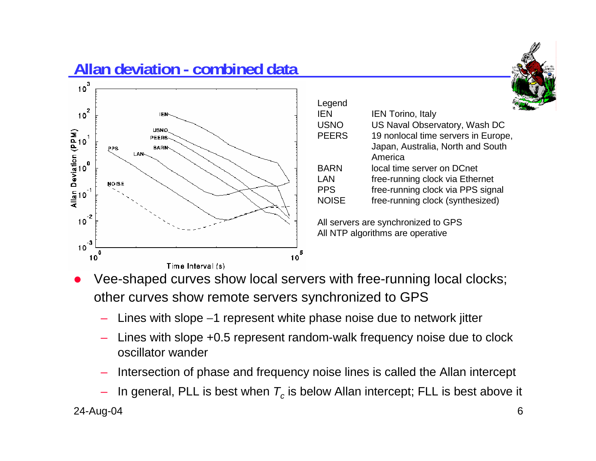

## **Allan deviation - combined data**



| Lugu         |                                     |
|--------------|-------------------------------------|
| <b>IEN</b>   | <b>IEN Torino, Italy</b>            |
| <b>USNO</b>  | US Naval Observatory, Wash DC       |
| <b>PEERS</b> | 19 nonlocal time servers in Europe, |
|              | Japan, Australia, North and South   |
|              | America                             |
| <b>BARN</b>  | local time server on DCnet          |
| LAN          | free-running clock via Ethernet     |
| <b>PPS</b>   | free-running clock via PPS signal   |
| <b>NOISE</b> | free-running clock (synthesized)    |
|              |                                     |

All servers are synchronized to GPS All NTP algorithms are operative

- O Vee-shaped curves show local servers with free-running local clocks; other curves show remote servers synchronized to GPS
	- Lines with slope −1 represent white phase noise due to network jitter
	- Lines with slope +0.5 represent random-walk frequency noise due to clock oscillator wander

Legend

- Intersection of phase and frequency noise lines is called the Allan intercept
- 24-Aug-04 6  $-$  In general, PLL is best when  $\mathcal{T}_c$  is below Allan intercept; FLL is best above it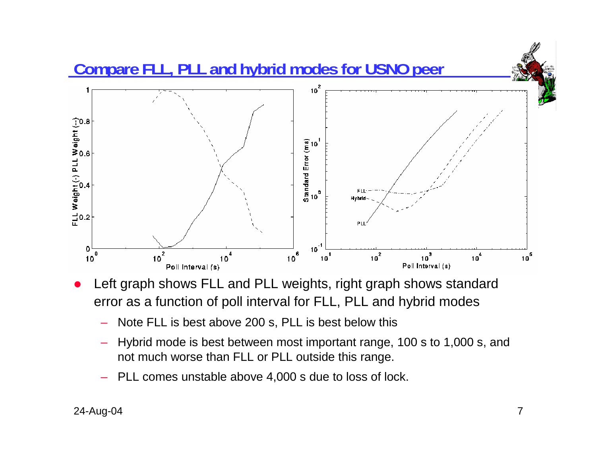

- O Left graph shows FLL and PLL weights, right graph shows standard error as a function of poll interval for FLL, PLL and hybrid modes
	- Note FLL is best above 200 s, PLL is best below this
	- Hybrid mode is best between most important range, 100 s to 1,000 s, and not much worse than FLL or PLL outside this range.
	- PLL comes unstable above 4,000 s due to loss of lock.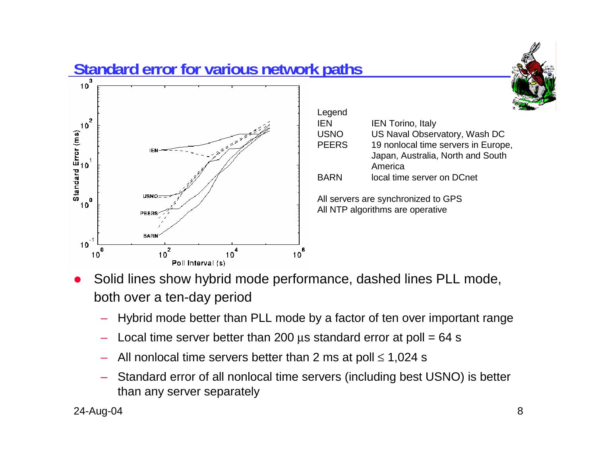

| Legend<br>IEN               | <b>IEN Torino, Italy</b>                                                                                  |  |
|-----------------------------|-----------------------------------------------------------------------------------------------------------|--|
| <b>USNO</b><br><b>PEERS</b> | US Naval Observatory, Wash DC<br>19 nonlocal time servers in Europe,<br>Japan, Australia, North and South |  |
| BARN                        | America<br>local time server on DCnet                                                                     |  |
|                             | All servers are synchronized to GPS                                                                       |  |

All NTP algorithms are operative

- O Solid lines show hybrid mode performance, dashed lines PLL mode, both over a ten-day period
	- Hybrid mode better than PLL mode by a factor of ten over important range
	- Local time server better than 200  $\mu$ s standard error at poll = 64 s
	- All nonlocal time servers better than 2 ms at poll  $\leq 1,024$  s
	- Standard error of all nonlocal time servers (including best USNO) is better than any server separately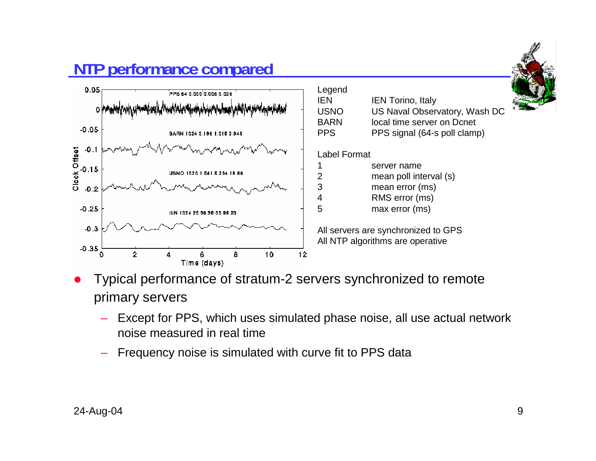

#### All servers are synchronized to GPS All NTP algorithms are operative

- O Typical performance of stratum-2 servers synchronized to remote primary servers
	- Except for PPS, which uses simulated phase noise, all use actual network noise measured in real time
	- Frequency noise is simulated with curve fit to PPS data

## **NTP performance compared**

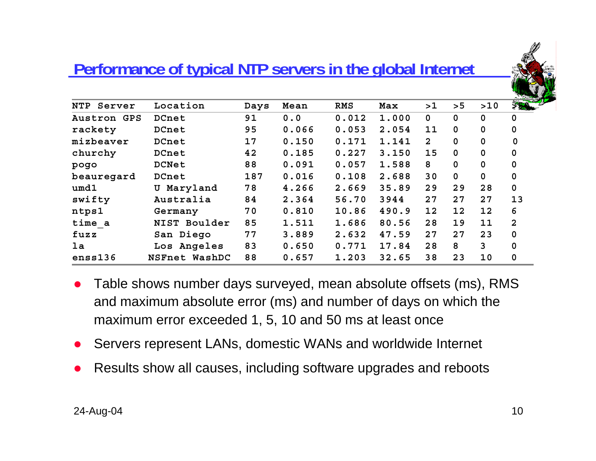

### **Performance of typical NTP servers in the global Internet**

| NTP<br>Server | Location      | Days | Mean  | RMS   | Max   | >1             | > 5         | >10         | 350          |
|---------------|---------------|------|-------|-------|-------|----------------|-------------|-------------|--------------|
| Austron GPS   | DCnet         | 91   | 0.0   | 0.012 | 1.000 | $\mathbf 0$    | 0           | $\mathbf 0$ | $\Omega$     |
| rackety       | DCnet         | 95   | 0.066 | 0.053 | 2.054 | 11             | $\mathbf 0$ | $\mathbf 0$ | 0            |
| mizbeaver     | DCnet         | 17   | 0.150 | 0.171 | 1.141 | $\overline{2}$ | 0           | $\mathbf 0$ | 0            |
| churchy       | DCnet         | 42   | 0.185 | 0.227 | 3.150 | 15             | $\mathbf 0$ | $\mathbf 0$ | 0            |
| pogo          | <b>DCNet</b>  | 88   | 0.091 | 0.057 | 1.588 | 8              | $\mathbf 0$ | $\mathbf 0$ | 0            |
| beauregard    | DCnet         | 187  | 0.016 | 0.108 | 2.688 | 30             | $\mathbf 0$ | $\mathbf 0$ | 0            |
| umd1          | U Maryland    | 78   | 4.266 | 2.669 | 35.89 | 29             | 29          | 28          | $\mathbf 0$  |
| swifty        | Australia     | 84   | 2.364 | 56.70 | 3944  | 27             | 27          | 27          | 13           |
| ntps1         | Germany       | 70   | 0.810 | 10.86 | 490.9 | 12             | 12          | 12          | 6            |
| time a        | NIST Boulder  | 85   | 1.511 | 1.686 | 80.56 | 28             | 19          | 11          | $\mathbf{2}$ |
| fuzz          | San Diego     | 77   | 3.889 | 2.632 | 47.59 | 27             | 27          | 23          | $\mathbf 0$  |
| la            | Los Angeles   | 83   | 0.650 | 0.771 | 17.84 | 28             | 8           | 3           | $\Omega$     |
| enss136       | NSFnet WashDC | 88   | 0.657 | 1.203 | 32.65 | 38             | 23          | 10          | 0            |

- $\bullet$  Table shows number days surveyed, mean absolute offsets (ms), RMS and maximum absolute error (ms) and number of days on which the maximum error exceeded 1, 5, 10 and 50 ms at least once
- O Servers represent LANs, domestic WANs and worldwide Internet
- O Results show all causes, including software upgrades and reboots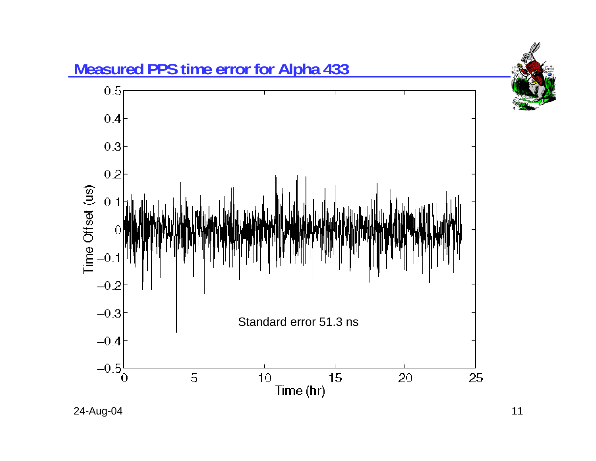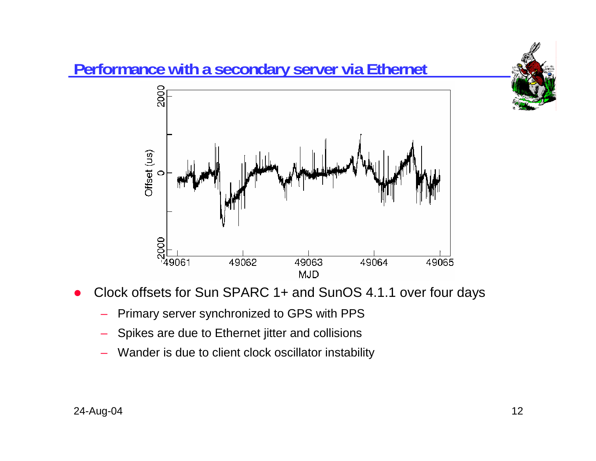

- O Clock offsets for Sun SPARC 1+ and SunOS 4.1.1 over four days
	- Primary server synchronized to GPS with PPS
	- Spikes are due to Ethernet jitter and collisions
	- Wander is due to client clock oscillator instability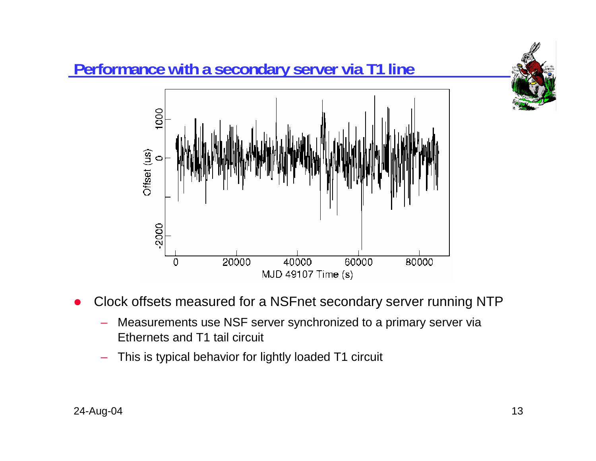

- O Clock offsets measured for a NSFnet secondary server running NTP
	- Measurements use NSF server synchronized to a primary server via Ethernets and T1 tail circuit

MJD 49107 Time (s)

This is typical behavior for lightly loaded T1 circuit

1000

 $\circ$ 

 $-2000$ 

 $\overline{0}$ 

Offset (us)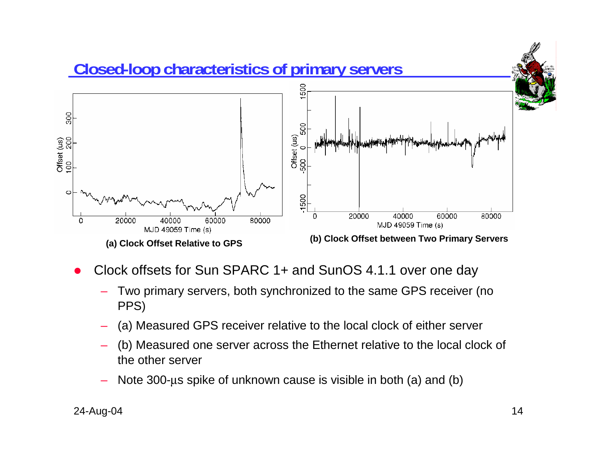

- O Clock offsets for Sun SPARC 1+ and SunOS 4.1.1 over one day
	- Two primary servers, both synchronized to the same GPS receiver (no PPS)
	- (a) Measured GPS receiver relative to the local clock of either server
	- (b) Measured one server across the Ethernet relative to the local clock of the other server
	- Note 300-µs spike of unknown cause is visible in both (a) and (b)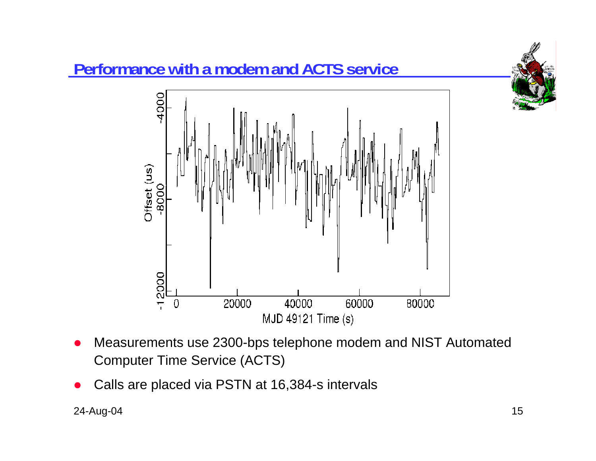

## **Performance with a modem and ACTS service**



- O Measurements use 2300-bps telephone modem and NIST Automated Computer Time Service (ACTS)
- O Calls are placed via PSTN at 16,384-s intervals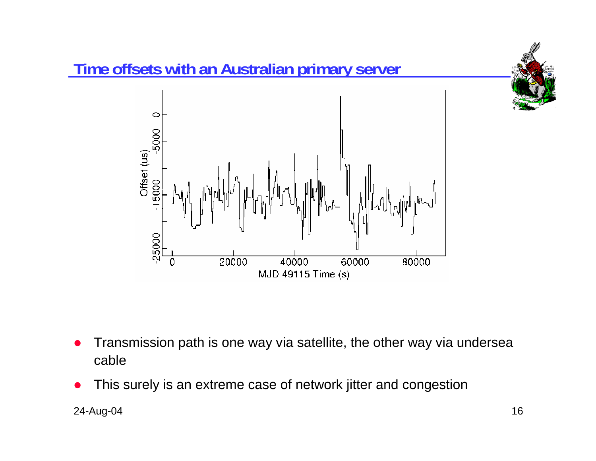

## **Time offsets with an Australian primary server**



- O Transmission path is one way via satellite, the other way via undersea cable
- O This surely is an extreme case of network jitter and congestion

24-Aug-04 16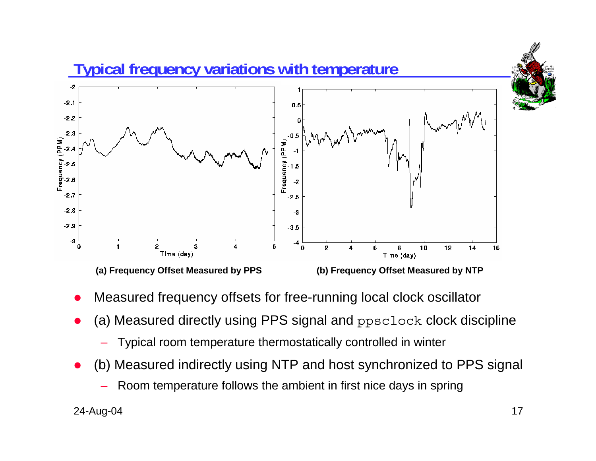

- O Measured frequency offsets for free-running local clock oscillator
- O (a) Measured directly using PPS signal and ppsclock clock discipline
	- Typical room temperature thermostatically controlled in winter
- O (b) Measured indirectly using NTP and host synchronized to PPS signal
	- Room temperature follows the ambient in first nice days in spring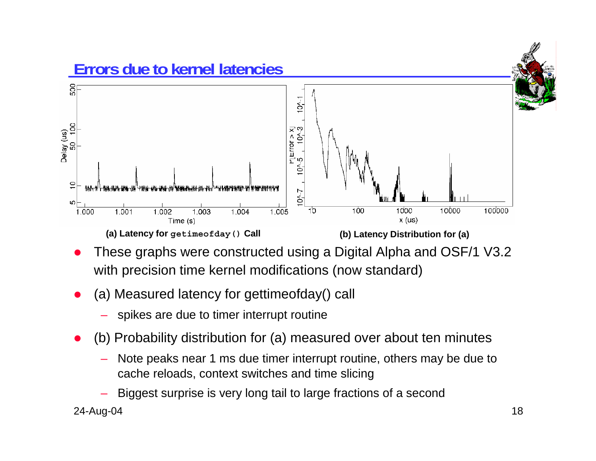

- O These graphs were constructed using a Digital Alpha and OSF/1 V3.2 with precision time kernel modifications (now standard)
- O (a) Measured latency for gettimeofday() call
	- spikes are due to timer interrupt routine
- O (b) Probability distribution for (a) measured over about ten minutes
	- Note peaks near 1 ms due timer interrupt routine, others may be due to cache reloads, context switches and time slicing
	- Biggest surprise is very long tail to large fractions of a second

24-Aug-04 18